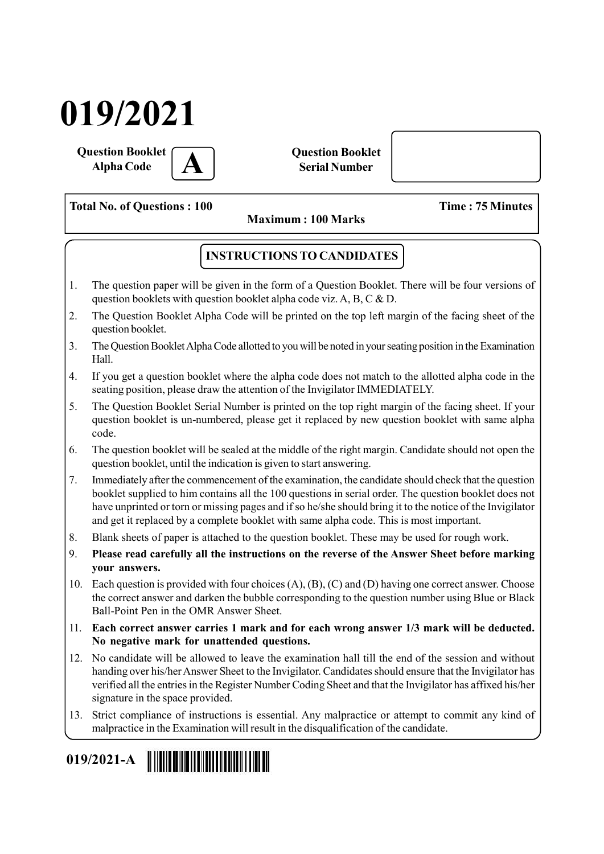# 019/2021

Question Booklet **Alpha Code** 



Question Booklet Serial Number

# Total No. of Ouestions : 100 Time : 75 Minutes

Maximum : 100 Marks

# INSTRUCTIONS TO CANDIDATES

- 1. The question paper will be given in the form of a Question Booklet. There will be four versions of question booklets with question booklet alpha code viz. A, B, C & D.
- 2. The Question Booklet Alpha Code will be printed on the top left margin of the facing sheet of the question booklet.
- 3. The Question Booklet Alpha Code allotted to you will be noted in your seating position in the Examination Hall.
- 4. If you get a question booklet where the alpha code does not match to the allotted alpha code in the seating position, please draw the attention of the Invigilator IMMEDIATELY.
- 5. The Question Booklet Serial Number is printed on the top right margin of the facing sheet. If your question booklet is un-numbered, please get it replaced by new question booklet with same alpha code.
- 6. The question booklet will be sealed at the middle of the right margin. Candidate should not open the question booklet, until the indication is given to start answering.
- 7. Immediately after the commencement of the examination, the candidate should check that the question booklet supplied to him contains all the 100 questions in serial order. The question booklet does not have unprinted or torn or missing pages and if so he/she should bring it to the notice of the Invigilator and get it replaced by a complete booklet with same alpha code. This is most important.
- 8. Blank sheets of paper is attached to the question booklet. These may be used for rough work.
- 9. Please read carefully all the instructions on the reverse of the Answer Sheet before marking your answers.
- 10. Each question is provided with four choices (A), (B), (C) and (D) having one correct answer. Choose the correct answer and darken the bubble corresponding to the question number using Blue or Black Ball-Point Pen in the OMR Answer Sheet.
- 11. Each correct answer carries 1 mark and for each wrong answer 1/3 mark will be deducted. No negative mark for unattended questions.
- 12. No candidate will be allowed to leave the examination hall till the end of the session and without handing over his/her Answer Sheet to the Invigilator. Candidates should ensure that the Invigilator has verified all the entries in the Register Number Coding Sheet and that the Invigilator has affixed his/her signature in the space provided.
- 13. Strict compliance of instructions is essential. Any malpractice or attempt to commit any kind of malpractice in the Examination will result in the disqualification of the candidate.

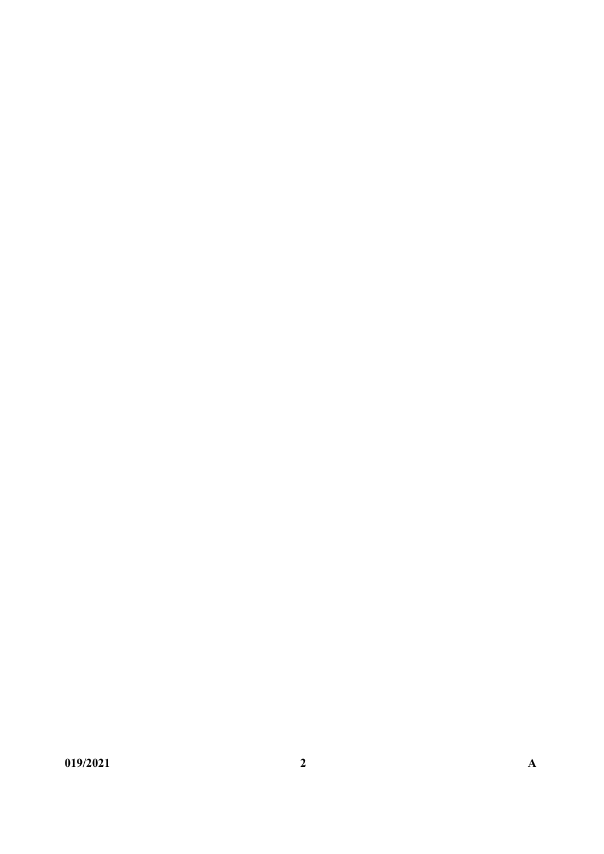$019/2021$  and  $2$  and  $4$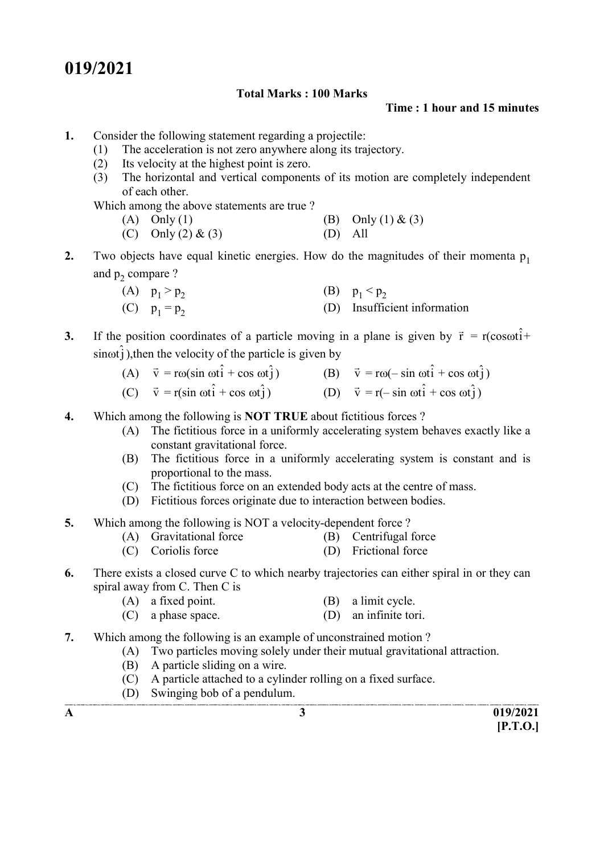# 019/2021

#### Total Marks : 100 Marks

#### Time : 1 hour and 15 minutes

- 1. Consider the following statement regarding a projectile:
	- (1) The acceleration is not zero anywhere along its trajectory.
	- (2) Its velocity at the highest point is zero.
	- (3) The horizontal and vertical components of its motion are completely independent of each other.

Which among the above statements are true ?

- (A) Only (1) (B) Only (1) & (3) (C) Only (2) & (3) (D) All (C) Only (2)  $& (3)$
- 2. Two objects have equal kinetic energies. How do the magnitudes of their momenta  $p_1$ and  $p_2$  compare ?
- (A)  $p_1 > p_2$ (B)  $p_1 < p_2$ (C)  $p_1 = p_2$ (D) Insufficient information
- 3. If the position coordinates of a particle moving in a plane is given by  $\vec{r} = r(\cos\omega t \hat{i} + \hat{j} + \hat{k})$  $\sin\omega t$ ;  $\hat{j}$ ), then the velocity of the particle is given by
- (A)  $\vec{v} = r\omega(\sin \omega t \hat{i} + \cos \omega t \hat{j})$  (B)  $\vec{v}$  $\vec{v} = r\omega(-\sin \omega t \hat{i} + \cos \omega t \hat{j})$
- (C)  $\vec{v} = r(\sin \omega t \hat{i} + \cos \omega t \hat{j})$ (D)  $\vec{v} = r(-\sin \omega t \hat{i} + \cos \omega t \hat{j})$
- 4. Which among the following is **NOT TRUE** about fictitious forces?
	- (A) The fictitious force in a uniformly accelerating system behaves exactly like a constant gravitational force.
	- (B) The fictitious force in a uniformly accelerating system is constant and is proportional to the mass.
	- (C) The fictitious force on an extended body acts at the centre of mass.
	- (D) Fictitious forces originate due to interaction between bodies.
- 5. Which among the following is NOT a velocity-dependent force ?
	- (A) Gravitational force (B) Centrifugal force
	- (C) Coriolis force (D) Frictional force
- 6. There exists a closed curve C to which nearby trajectories can either spiral in or they can spiral away from C. Then C is
	- (A) a fixed point. (B) a limit cycle.
		-
	- (C) a phase space. (D) an infinite tori.
- 7. Which among the following is an example of unconstrained motion ?
	- (A) Two particles moving solely under their mutual gravitational attraction.
	- (B) A particle sliding on a wire.
	- (C) A particle attached to a cylinder rolling on a fixed surface.
	- (D) Swinging bob of a pendulum.
-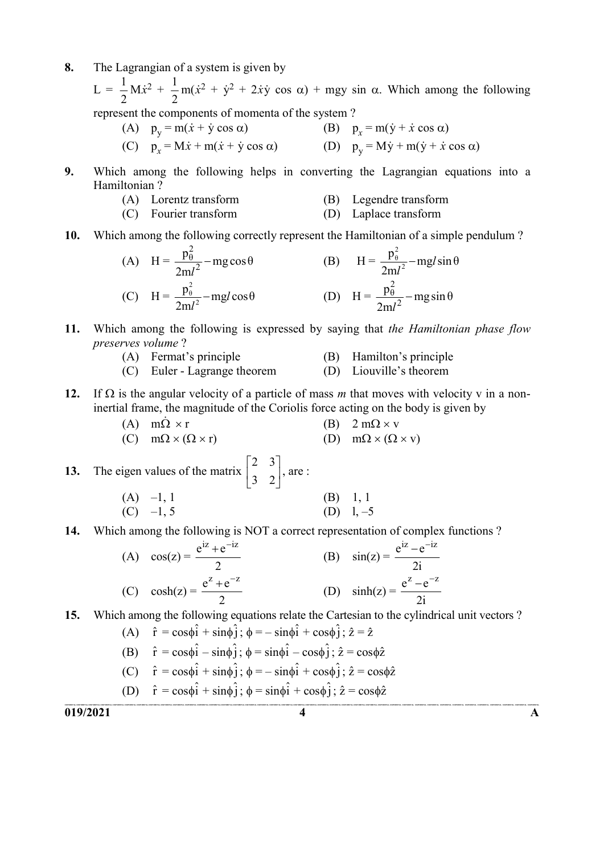8. The Lagrangian of a system is given by

 $L =$ 2  $\frac{1}{2}M\dot{x}^2 +$ 2  $\frac{1}{2}$  m( $\dot{x}^2 + \dot{y}^2 + 2\dot{x}\dot{y}$  cos  $\alpha$ ) + mgy sin  $\alpha$ . Which among the following

represent the components of momenta of the system ?

(A) 
$$
p_y = m(\dot{x} + \dot{y} \cos \alpha)
$$
  
\n(B)  $p_x = m(\dot{y} + \dot{x} \cos \alpha)$   
\n(C)  $p_x = M\dot{x} + m(\dot{x} + \dot{y} \cos \alpha)$   
\n(D)  $p_y = M\dot{y} + m(\dot{y} + \dot{x} \cos \alpha)$ 

- 9. Which among the following helps in converting the Lagrangian equations into a Hamiltonian ?
	- (A) Lorentz transform (B) Legendre transform
	- (C) Fourier transform (D) Laplace transform
- 10. Which among the following correctly represent the Hamiltonian of a simple pendulum ?

(A) 
$$
H = \frac{p_{\theta}^2}{2ml^2} - mg\cos\theta
$$
 (B)  $H = \frac{p_{\theta}^2}{2ml^2} - mgl\sin\theta$   
\n(C)  $H = \frac{p_{\theta}^2}{2ml^2} - mgl\cos\theta$  (D)  $H = \frac{p_{\theta}^2}{2ml^2} - mg\sin\theta$ 

- 11. Which among the following is expressed by saying that the Hamiltonian phase flow preserves volume ?
	- (A) Fermat's principle (B) Hamilton's principle
	- (C) Euler Lagrange theorem (D) Liouville's theorem
- 12. If  $\Omega$  is the angular velocity of a particle of mass m that moves with velocity v in a noninertial frame, the magnitude of the Coriolis force acting on the body is given by
	- (A)  $m\Omega \times r$  (B)  $2 m\Omega \times v$ (C)  $m\Omega \times (\Omega \times r)$  (D)  $m\Omega \times (\Omega \times v)$
- 13. The eigen values of the matrix  $\begin{bmatrix} 2 & 5 \\ 2 & 2 \end{bmatrix}$  $\rfloor$  $\overline{\phantom{a}}$ ļ. Ŀ Ľ 3 2 2 3 , are :  $(A)$  –1, 1 (B) 1, 1 (C)  $-1, 5$  (D)  $1, -5$

14. Which among the following is NOT a correct representation of complex functions ?

(A) 
$$
cos(z) = \frac{e^{iz} + e^{-iz}}{2}
$$
 (B)  $sin(z) = \frac{e^{iz} - e^{-iz}}{2i}$   
\n(C)  $cosh(z) = \frac{e^{z} + e^{-z}}{2}$  (D)  $sinh(z) = \frac{e^{z} - e^{-z}}{2i}$ 

15. Which among the following equations relate the Cartesian to the cylindrical unit vectors ?

(A) 
$$
\hat{\mathbf{r}} = \cos\phi \hat{\mathbf{i}} + \sin\phi \hat{\mathbf{j}}; \ \phi = -\sin\phi \hat{\mathbf{i}} + \cos\phi \hat{\mathbf{j}}; \ \hat{\mathbf{z}} = \hat{\mathbf{z}}
$$

- (B)  $\hat{r} = \cos\phi \hat{i} \sin\phi \hat{j}$ ;  $\phi = \sin\phi \hat{i} \cos\phi \hat{j}$ ;  $\hat{z} = \cos\phi \hat{z}$
- (C)  $\hat{r} = \cos\phi \hat{i} + \sin\phi \hat{j}$ ;  $\phi = -\sin\phi \hat{i} + \cos\phi \hat{j}$ ;  $\hat{z} = \cos\phi \hat{z}$
- (D)  $\hat{r} = \cos\phi \hat{i} + \sin\phi \hat{j}$ ;  $\phi = \sin\phi \hat{i} + \cos\phi \hat{j}$ ;  $\hat{z} = \cos\phi \hat{z}$

 $019/2021$  A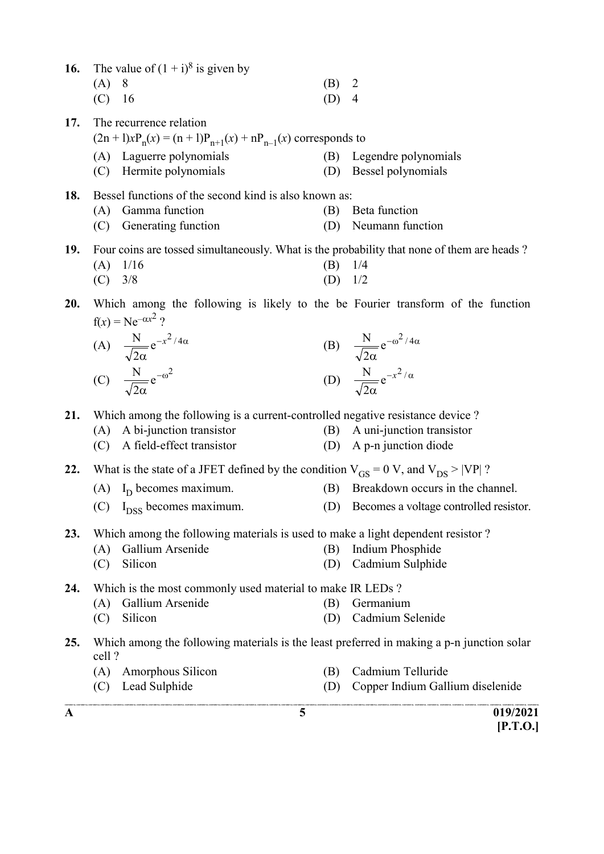| 16. The value of $(1 + i)^8$ is given by |  |
|------------------------------------------|--|
|------------------------------------------|--|

| $(A)$ 8  | $(B)$ 2 |  |
|----------|---------|--|
| $(C)$ 16 | $(D)$ 4 |  |

17. The recurrence relation

 $(2n+1) x P_n(x) = (n+1) P_{n+1}(x) + n P_{n-1}(x)$  corresponds to

- (A) Laguerre polynomials (B) Legendre polynomials
- (C) Hermite polynomials (D) Bessel polynomials

18. Bessel functions of the second kind is also known as:

- (A) Gamma function (B) Beta function
- (C) Generating function (D) Neumann function
- 19. Four coins are tossed simultaneously. What is the probability that none of them are heads ? (A) 1/16 (B) 1/4
	- (C) 3/8 (D) 1/2
- 20. Which among the following is likely to the be Fourier transform of the function  $f(x) = Ne^{-\alpha x^2}$ ?

(A) 
$$
\frac{N}{\sqrt{2\alpha}}e^{-x^2/4\alpha}
$$
 (B)  $\frac{N}{\sqrt{2\alpha}}e^{-\omega^2/4\alpha}$   
\n(C)  $\frac{N}{\sqrt{2\alpha}}e^{-\omega^2}$  (D)  $\frac{N}{\sqrt{2\alpha}}e^{-x^2/\alpha}$ 

#### 21. Which among the following is a current-controlled negative resistance device ?

- (A) A bi-junction transistor (B) A uni-junction transistor
	- (C) A field-effect transistor (D) A p-n junction diode

22. What is the state of a JFET defined by the condition  $V_{GS} = 0 V$ , and  $V_{DS} > |VP|$ ?

- (A)  $I_D$  becomes maximum. (B) Breakdown occurs in the channel.
- (C)  $I_{DSS}$  becomes maximum. (D) Becomes a voltage controlled resistor.

23. Which among the following materials is used to make a light dependent resistor ?

- (A) Gallium Arsenide (B) Indium Phosphide
- (C) Silicon (D) Cadmium Sulphide

24. Which is the most commonly used material to make IR LEDs?

- (A) Gallium Arsenide (B) Germanium
	- (C) Silicon (D) Cadmium Selenide
- 25. Which among the following materials is the least preferred in making a p-n junction solar cell ?
	- (A) Amorphous Silicon (B) Cadmium Telluride
	- (C) Lead Sulphide (D) Copper Indium Gallium diselenide
-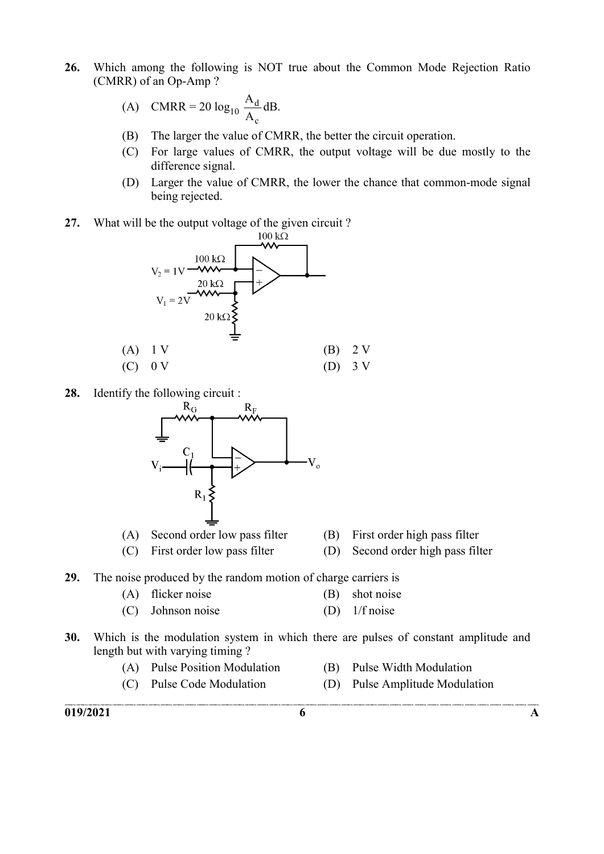26. Which among the following is NOT true about the Common Mode Rejection Ratio (CMRR) of an Op-Amp ?

(A) CMRR = 20 log<sub>10</sub> 
$$
\frac{A_d}{A_c}
$$
 dB.

- (B) The larger the value of CMRR, the better the circuit operation.
- (C) For large values of CMRR, the output voltage will be due mostly to the difference signal.
- (D) Larger the value of CMRR, the lower the chance that common-mode signal being rejected.
- 27. What will be the output voltage of the given circuit ?



28. Identify the following circuit :



- (A) Second order low pass filter (B) First order high pass filter
- (C) First order low pass filter (D) Second order high pass filter
- -
- 29. The noise produced by the random motion of charge carriers is
	- (A) flicker noise (B) shot noise
	- (C) Johnson noise (D) 1/f noise
- 30. Which is the modulation system in which there are pulses of constant amplitude and length but with varying timing ?
	- (A) Pulse Position Modulation (B) Pulse Width Modulation

(C) Pulse Code Modulation (D) Pulse Amplitude Modulation

- 
- 

 $019/2021$  6 A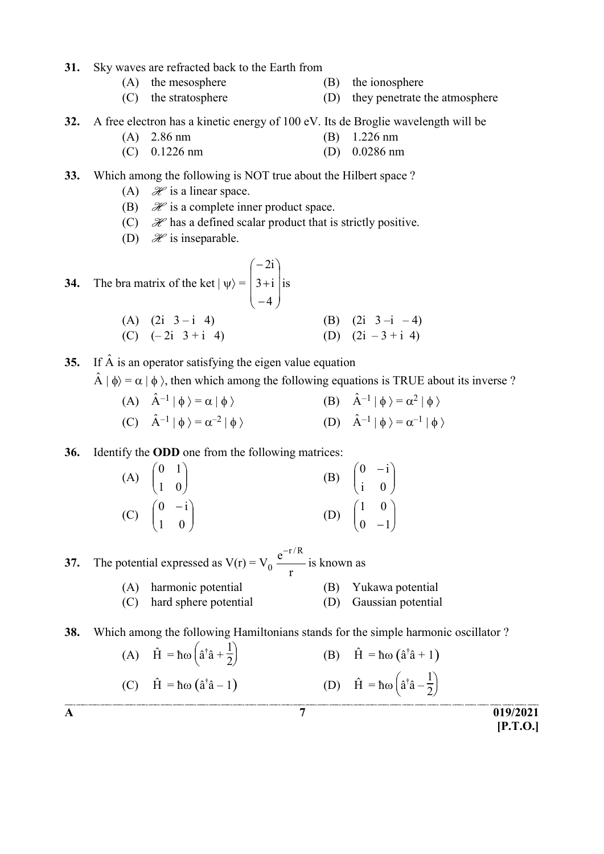- 31. Sky waves are refracted back to the Earth from
	- (A) the mesosphere (B) the ionosphere
	- (C) the stratosphere (D) they penetrate the atmosphere
- 32. A free electron has a kinetic energy of 100 eV. Its de Broglie wavelength will be
	- (A) 2.86 nm (B) 1.226 nm
	- (C) 0.1226 nm (D) 0.0286 nm

#### 33. Which among the following is NOT true about the Hilbert space ?

- (A)  $\mathcal{H}$  is a linear space.
- (B)  $\mathcal{H}$  is a complete inner product space.
- (C)  $\mathcal{H}$  has a defined scalar product that is strictly positive.
- (D)  $\mathcal{H}$  is inseparable.

34. The bra matrix of the ket 
$$
|\psi\rangle = \begin{pmatrix} -2i \\ 3+i \\ -4 \end{pmatrix}
$$
 is

(A)  $(2i \t3-i \t4)$  (B)  $(2i \t3-i \t-4)$ (C)  $(-2i \t3 + i \t4)$  (D)  $(2i - 3 + i \t4)$ 

35. If  $\hat{A}$  is an operator satisfying the eigen value equation

 $\hat{A} | \phi \rangle = \alpha | \phi \rangle$ , then which among the following equations is TRUE about its inverse ?

 $(A)$   $\hat{A}^{-1} | \phi \rangle = \alpha | \phi \rangle$  $^{2}$  |  $\phi$   $\rangle$ (C)  $\hat{A}^{-1} | \phi \rangle = \alpha^{-2} | \phi \rangle$  $\hat{A}^{-1} | \phi \rangle$  (D)  $\hat{A}^{-1} | \phi \rangle = \alpha^{-1} | \phi \rangle$ 

## 36. Identify the ODD one from the following matrices:

| (A) $\begin{pmatrix} 0 & 1 \\ 1 & 0 \end{pmatrix}$  | (B) $\begin{pmatrix} 0 & -i \\ i & 0 \end{pmatrix}$ |  |
|-----------------------------------------------------|-----------------------------------------------------|--|
| (C) $\begin{pmatrix} 0 & -i \\ 1 & 0 \end{pmatrix}$ | (D) $\begin{pmatrix} 1 & 0 \\ 0 & -1 \end{pmatrix}$ |  |

**37.** The potential expressed as  $V(r) = V_0 \frac{e^{-r/R}}{r}$ is known as

- (A) harmonic potential (B) Yukawa potential
- (C) hard sphere potential (D) Gaussian potential

## 38. Which among the following Hamiltonians stands for the simple harmonic oscillator ?

(A) 
$$
\hat{H} = \hbar \omega \left( \hat{a}^{\dagger} \hat{a} + \frac{1}{2} \right)
$$
 (B)  $\hat{H} = \hbar \omega \left( \hat{a}^{\dagger} \hat{a} + 1 \right)$   
\n(C)  $\hat{H} = \hbar \omega \left( \hat{a}^{\dagger} \hat{a} - 1 \right)$  (D)  $\hat{H} = \hbar \omega \left( \hat{a}^{\dagger} \hat{a} - \frac{1}{2} \right)$  (D)  $\hat{H} = \hbar \omega \left( \hat{a}^{\dagger} \hat{a} - \frac{1}{2} \right)$  (E)

 $[P.T.O.]$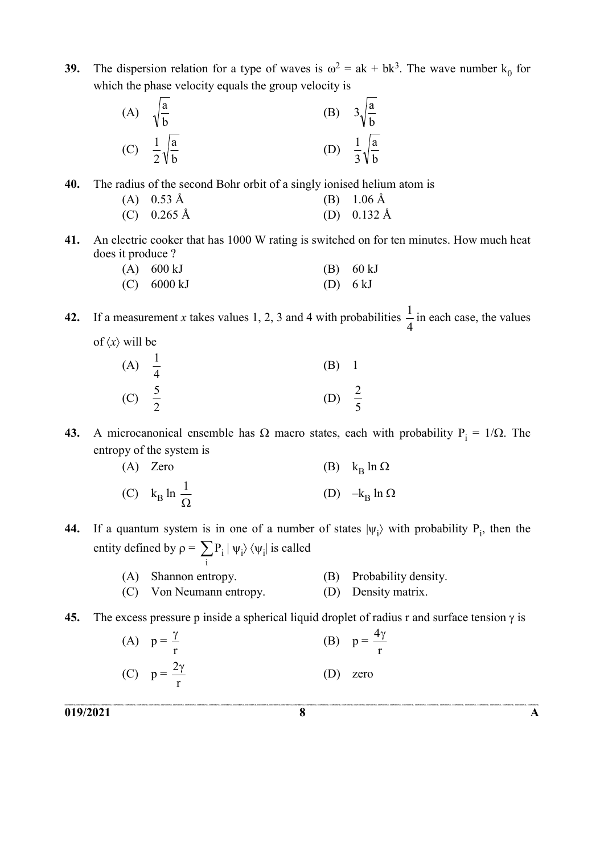**39.** The dispersion relation for a type of waves is  $\omega^2 = ak + bk^3$ . The wave number  $k_0$  for which the phase velocity equals the group velocity is

| (A) $\sqrt{\frac{a}{b}}$ |                                      | (B) $3\sqrt{\frac{a}{b}}$            |
|--------------------------|--------------------------------------|--------------------------------------|
|                          | (C) $\frac{1}{2} \sqrt{\frac{a}{b}}$ | (D) $\frac{1}{3} \sqrt{\frac{a}{b}}$ |

40. The radius of the second Bohr orbit of a singly ionised helium atom is

| $(A)$ 0.53 Å          | (B) $1.06 \text{ Å}$  |
|-----------------------|-----------------------|
| (C) $0.265 \text{ Å}$ | (D) $0.132 \text{ Å}$ |

41. An electric cooker that has 1000 W rating is switched on for ten minutes. How much heat does it produce ?

| (A) 600 kJ    | $(B)$ 60 kJ |
|---------------|-------------|
| $(C)$ 6000 kJ | $(D)$ 6 kJ  |

42. If a measurement x takes values  $1, 2, 3$  and 4 with probabilities 4  $\frac{1}{1}$  in each case, the values of  $\langle x \rangle$  will be

| $V_{\rm t}$ $V_{\rm t}$ $V_{\rm t}$ and $V_{\rm t}$ |                   |  |
|-----------------------------------------------------|-------------------|--|
| (A) $\frac{1}{4}$                                   | $(B)$ 1           |  |
| (C) $\frac{5}{2}$                                   | (D) $\frac{2}{5}$ |  |

**43.** A microcanonical ensemble has  $\Omega$  macro states, each with probability  $P_i = 1/\Omega$ . The entropy of the system is

| $(A)$ Zero                | (B) $k_B \ln \Omega$  |
|---------------------------|-----------------------|
| (C) $k_B \ln \frac{1}{Q}$ | (D) $-k_R \ln \Omega$ |

- **44.** If a quantum system is in one of a number of states  $|\psi_i\rangle$  with probability P<sub>i</sub>, then the entity defined by  $\rho = \sum I$  $P_i | \psi_i \rangle \langle \psi_i |$  is called
	- (A) Shannon entropy. (B) Probability density.
	- (C) Von Neumann entropy. (D) Density matrix.
- 45. The excess pressure p inside a spherical liquid droplet of radius r and surface tension  $\gamma$  is

| (A) $p = \frac{\gamma}{\gamma}$  | (B) $p = \frac{4\gamma}{r}$ |
|----------------------------------|-----------------------------|
| (C) $p = \frac{2\gamma}{\gamma}$ | $(D)$ zero                  |

i

 $019/2021$  and  $8$  and  $4$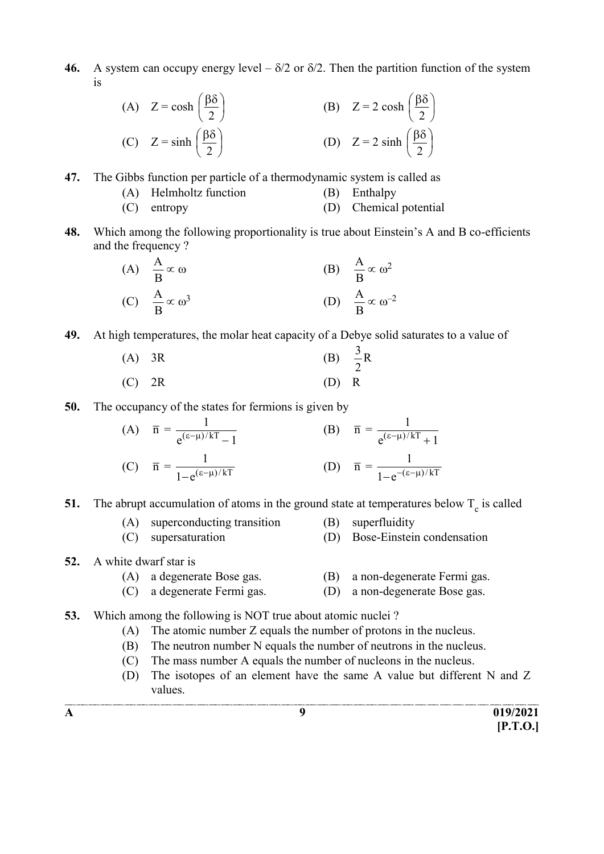46. A system can occupy energy level –  $\delta/2$  or  $\delta/2$ . Then the partition function of the system is

(A) 
$$
Z = \cosh\left(\frac{\beta \delta}{2}\right)
$$
  
\n(B)  $Z = 2 \cosh\left(\frac{\beta \delta}{2}\right)$   
\n(C)  $Z = \sinh\left(\frac{\beta \delta}{2}\right)$   
\n(D)  $Z = 2 \sinh\left(\frac{\beta \delta}{2}\right)$ 

47. The Gibbs function per particle of a thermodynamic system is called as

- (A) Helmholtz function (B) Enthalpy
- (C) entropy (D) Chemical potential
- 48. Which among the following proportionality is true about Einstein's A and B co-efficients and the frequency ?

(A) 
$$
\frac{A}{B} \propto \omega
$$
  
\n(B)  $\frac{A}{B} \propto \omega^2$   
\n(C)  $\frac{A}{B} \propto \omega^3$   
\n(D)  $\frac{A}{B} \propto \omega^{-2}$ 

49. At high temperatures, the molar heat capacity of a Debye solid saturates to a value of

(A) 3R  
\n(B) 
$$
\frac{3}{2}
$$
R  
\n(C) 2R  
\n(D) R

50. The occupancy of the states for fermions is given by

(A) 
$$
\bar{n} = \frac{1}{e^{(\epsilon - \mu)/kT} - 1}
$$
 (B)  $\bar{n} = \frac{1}{e^{(\epsilon - \mu)/kT} + 1}$   
(C)  $\bar{n} = \frac{1}{1 - e^{(\epsilon - \mu)/kT}}$  (D)  $\bar{n} = \frac{1}{1 - e^{-(\epsilon - \mu)/kT}}$ 

- **51.** The abrupt accumulation of atoms in the ground state at temperatures below  $T_c$  is called
	- (A) superconducting transition (B) superfluidity
		-
	- (C) supersaturation (D) Bose-Einstein condensation

#### 52. A white dwarf star is

- (A) a degenerate Bose gas. (B) a non-degenerate Fermi gas.
	-
- (C) a degenerate Fermi gas. (D) a non-degenerate Bose gas.
- 53. Which among the following is NOT true about atomic nuclei ?
	- (A) The atomic number Z equals the number of protons in the nucleus.
	- (B) The neutron number N equals the number of neutrons in the nucleus.
	- (C) The mass number A equals the number of nucleons in the nucleus.
	- (D) The isotopes of an element have the same A value but different N and Z values.
- A  $9$  019/2021  $[P.T.O.]$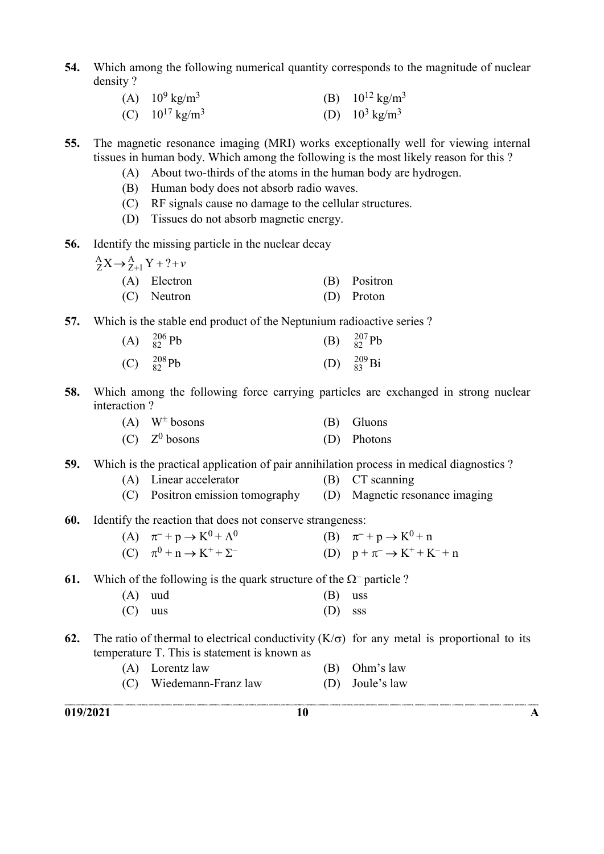54. Which among the following numerical quantity corresponds to the magnitude of nuclear density ?

| (A) $10^9 \text{ kg/m}^3$       | (B) $10^{12}$ kg/m <sup>3</sup> |
|---------------------------------|---------------------------------|
| (C) $10^{17}$ kg/m <sup>3</sup> | (D) $10^3$ kg/m <sup>3</sup>    |

- 55. The magnetic resonance imaging (MRI) works exceptionally well for viewing internal tissues in human body. Which among the following is the most likely reason for this ?
	- (A) About two-thirds of the atoms in the human body are hydrogen.
	- (B) Human body does not absorb radio waves.
	- (C) RF signals cause no damage to the cellular structures.
	- (D) Tissues do not absorb magnetic energy.
- 56. Identify the missing particle in the nuclear decay

| ${}_{7}^{\text{A}}\text{X} \rightarrow {}_{7+1}^{\text{A}}\text{Y} + ? + \nu$ |              |
|-------------------------------------------------------------------------------|--------------|
| (A) Electron                                                                  | (B) Positron |
| (C) Neutron                                                                   | (D) Proton   |

57. Which is the stable end product of the Neptunium radioactive series ?

| (A) $^{206}_{82}Pb$ | (B) $^{207}_{82}Pb$  |
|---------------------|----------------------|
| (C) $^{208}_{82}Pb$ | (D) $^{209}_{83}$ Bi |

58. Which among the following force carrying particles are exchanged in strong nuclear interaction ?

| (A) $W^{\pm}$ bosons | (B) Gluons  |
|----------------------|-------------|
| $(C)$ $Z^0$ bosons   | (D) Photons |

- 59. Which is the practical application of pair annihilation process in medical diagnostics ?
	- (A) Linear accelerator (B) CT scanning
	- (C) Positron emission tomography (D) Magnetic resonance imaging
- 60. Identify the reaction that does not conserve strangeness:

| (A) $\pi^-$ + p $\rightarrow$ K <sup>0</sup> + $\Lambda$ <sup>0</sup> | (B) $\pi^-$ + p $\rightarrow$ K <sup>0</sup> + n |
|-----------------------------------------------------------------------|--------------------------------------------------|
| (C) $\pi^0$ + n $\rightarrow$ K <sup>+</sup> + $\Sigma^-$             | (D) $p + \pi^{-} \rightarrow K^{+} + K^{-} + n$  |

61. Which of the following is the quark structure of the  $\Omega^-$  particle ?

| $(A)$ uud | $(B)$ uss |  |
|-----------|-----------|--|
| $(C)$ uus | $(D)$ sss |  |

62. The ratio of thermal to electrical conductivity  $(K/\sigma)$  for any metal is proportional to its temperature T. This is statement is known as

| (A) Lorentz law           | $(B)$ Ohm's law                                    |
|---------------------------|----------------------------------------------------|
| $(C)$ Windowsom Executive | $(D)$ $I_{\text{av}}1_{\text{av}}$ $I_{\text{av}}$ |

(C) Wiedemann-Franz law (D) Joule's law

 $019/2021$  A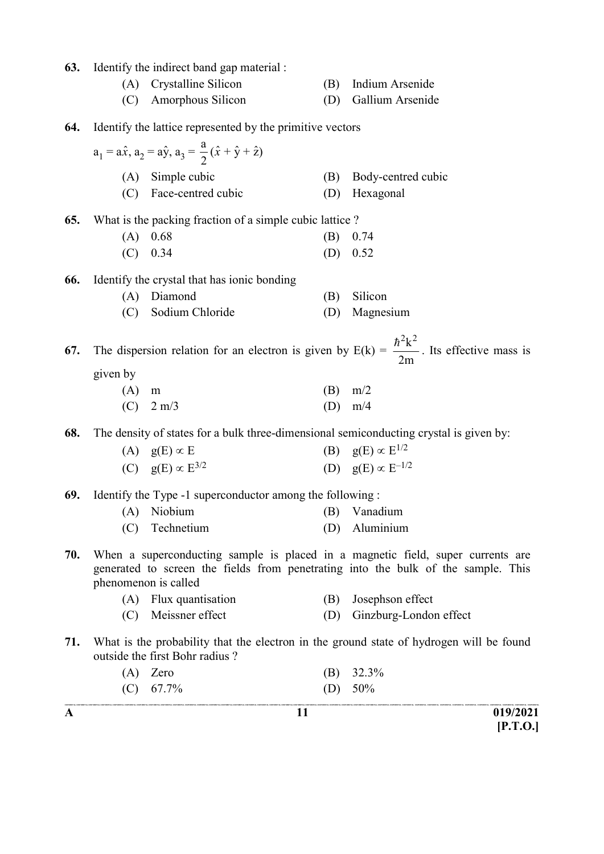| $\mathbf{A}$ |          |                                                                                  | 11  | 019/2021<br>[P.T.O.]                                                                                        |
|--------------|----------|----------------------------------------------------------------------------------|-----|-------------------------------------------------------------------------------------------------------------|
|              | (C)      | 67.7%                                                                            | (D) | 50%                                                                                                         |
|              | (A)      | Zero                                                                             | (B) | 32.3%                                                                                                       |
|              |          | outside the first Bohr radius?                                                   |     |                                                                                                             |
| 71.          |          |                                                                                  |     | What is the probability that the electron in the ground state of hydrogen will be found                     |
|              | (C)      | Meissner effect                                                                  | (D) | Ginzburg-London effect                                                                                      |
|              |          | (A) Flux quantisation                                                            | (B) | Josephson effect                                                                                            |
|              |          | phenomenon is called                                                             |     |                                                                                                             |
|              |          |                                                                                  |     | generated to screen the fields from penetrating into the bulk of the sample. This                           |
| 70.          |          |                                                                                  |     | When a superconducting sample is placed in a magnetic field, super currents are                             |
|              | (C)      | Technetium                                                                       |     | (D) Aluminium                                                                                               |
|              |          | (A) Niobium                                                                      |     | (B) Vanadium                                                                                                |
| 69.          |          | Identify the Type -1 superconductor among the following :                        |     |                                                                                                             |
|              |          | (C) $g(E) \propto E^{3/2}$                                                       |     | (D) $g(E) \propto E^{-1/2}$                                                                                 |
|              |          | (A) $g(E) \propto E$                                                             |     | (B) $g(E) \propto E^{1/2}$                                                                                  |
| 68.          |          |                                                                                  |     | The density of states for a bulk three-dimensional semiconducting crystal is given by:                      |
|              |          |                                                                                  |     |                                                                                                             |
|              | (C)      | $2 \text{ m}/3$                                                                  | (D) | m/4                                                                                                         |
|              | (A)      | ${\rm m}$                                                                        | (B) | m/2                                                                                                         |
|              | given by |                                                                                  |     |                                                                                                             |
| 67.          |          |                                                                                  |     | The dispersion relation for an electron is given by $E(k) = \frac{\hbar^2 k^2}{2m}$ . Its effective mass is |
|              |          |                                                                                  |     |                                                                                                             |
|              | (C)      | Sodium Chloride                                                                  | (D) | Magnesium                                                                                                   |
| 66.          | (A)      | Identify the crystal that has ionic bonding<br>Diamond                           | (B) | Silicon                                                                                                     |
|              |          |                                                                                  |     |                                                                                                             |
|              | (C)      | 0.34                                                                             | (D) | 0.52                                                                                                        |
|              | (A)      | 0.68                                                                             | (B) | 0.74                                                                                                        |
| 65.          |          | What is the packing fraction of a simple cubic lattice?                          |     |                                                                                                             |
|              | (C)      | Face-centred cubic                                                               | (D) | Hexagonal                                                                                                   |
|              | (A)      | Simple cubic                                                                     | (B) | Body-centred cubic                                                                                          |
|              |          | $a_1 = a\hat{x}, a_2 = a\hat{y}, a_3 = \frac{a}{2}(\hat{x} + \hat{y} + \hat{z})$ |     |                                                                                                             |
| 64.          |          | Identify the lattice represented by the primitive vectors                        |     |                                                                                                             |
|              |          |                                                                                  |     |                                                                                                             |
|              | (C)      | Amorphous Silicon                                                                | (D) | Gallium Arsenide                                                                                            |
|              | (A)      | Crystalline Silicon                                                              | (B) | Indium Arsenide                                                                                             |
| 63.          |          | Identify the indirect band gap material :                                        |     |                                                                                                             |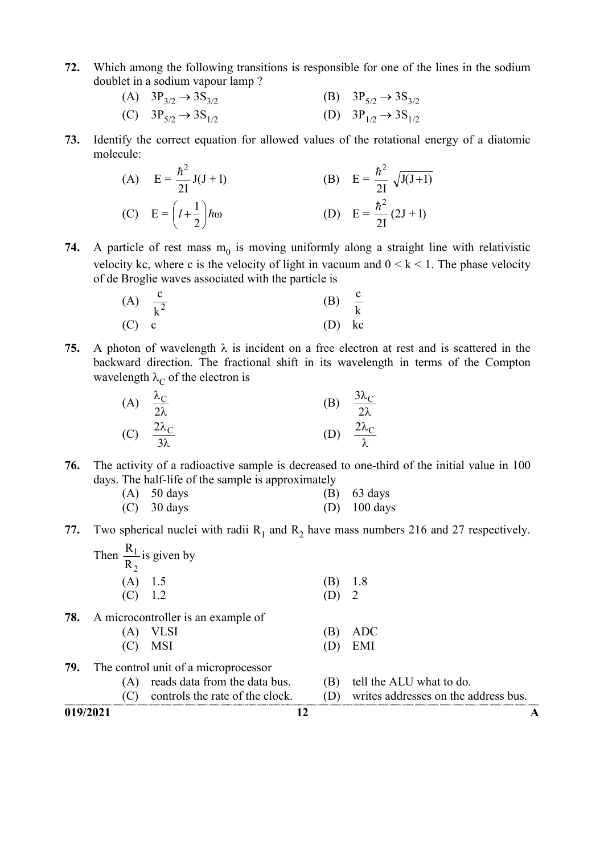- 72. Which among the following transitions is responsible for one of the lines in the sodium doublet in a sodium vapour lamp ?
	- (A)  $3P_{3/2} \rightarrow 3S_{3/2}$  (B)  $3P_{5/2} \rightarrow 3S_{3/2}$ (C)  $3P_{5/2} \rightarrow 3S_{1/2}$  (D)  $3P_{1/2} \rightarrow 3S_{1/2}$
- 73. Identify the correct equation for allowed values of the rotational energy of a diatomic molecule:

(A) 
$$
E = \frac{\hbar^2}{2I} J(J+1)
$$
  
\n(B)  $E = \frac{\hbar^2}{2I} \sqrt{J(J+1)}$   
\n(C)  $E = (l + \frac{1}{2})\hbar\omega$   
\n(D)  $E = \frac{\hbar^2}{2I} (2J+1)$ 

74. A particle of rest mass  $m_0$  is moving uniformly along a straight line with relativistic velocity kc, where c is the velocity of light in vacuum and  $0 \le k \le 1$ . The phase velocity of de Broglie waves associated with the particle is

(A) 
$$
\frac{c}{k^2}
$$
 (B)  $\frac{c}{k}$  (C) c (D)  $kc$ 

75. A photon of wavelength  $\lambda$  is incident on a free electron at rest and is scattered in the backward direction. The fractional shift in its wavelength in terms of the Compton wavelength  $\lambda_C$  of the electron is

(A) 
$$
\frac{\lambda_C}{2\lambda}
$$
 (B)  $\frac{3\lambda_C}{2\lambda}$   
(C)  $\frac{2\lambda_C}{3\lambda}$  (D)  $\frac{2\lambda_C}{\lambda}$ 

76. The activity of a radioactive sample is decreased to one-third of the initial value in 100 days. The half-life of the sample is approximately

| $(A)$ 50 days | $(B)$ 63 days  |
|---------------|----------------|
| $(C)$ 30 days | $(D)$ 100 days |

77. Two spherical nuclei with radii  $R_1$  and  $R_2$  have mass numbers 216 and 27 respectively.

|                                    |                                                 | 17  |                                          |  |
|------------------------------------|-------------------------------------------------|-----|------------------------------------------|--|
|                                    | (C) controls the rate of the clock.             |     | (D) writes addresses on the address bus. |  |
|                                    | (A) reads data from the data bus.               |     | (B) tell the ALU what to do.             |  |
|                                    | <b>79.</b> The control unit of a microprocessor |     |                                          |  |
|                                    | MSI                                             |     | EMI                                      |  |
| (A)                                | <b>VLSI</b>                                     | (B) | ADC                                      |  |
|                                    | <b>78.</b> A microcontroller is an example of   |     |                                          |  |
|                                    | 1.2                                             |     |                                          |  |
| $(A)$ 1.5                          |                                                 | (B) | - 1.8                                    |  |
|                                    |                                                 |     |                                          |  |
| Then $\frac{R_1}{R_1}$ is given by |                                                 |     |                                          |  |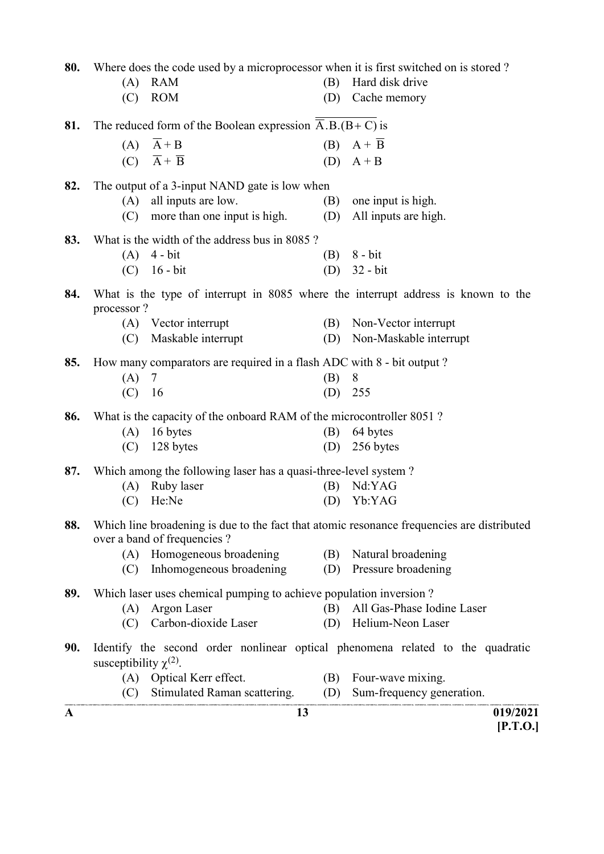| $\mathbf A$ |                               | 13                                                                                              |            | 019/2021                                                                                   |
|-------------|-------------------------------|-------------------------------------------------------------------------------------------------|------------|--------------------------------------------------------------------------------------------|
|             | (C)                           | Stimulated Raman scattering.                                                                    |            | (D) Sum-frequency generation.                                                              |
|             | (A)                           | Optical Kerr effect.                                                                            | (B)        | Four-wave mixing.                                                                          |
| 90.         | susceptibility $\chi^{(2)}$ . |                                                                                                 |            | Identify the second order nonlinear optical phenomena related to the quadratic             |
|             | (C)                           | Carbon-dioxide Laser                                                                            | (D)        |                                                                                            |
|             | (A)                           | Argon Laser                                                                                     |            | (B) All Gas-Phase Iodine Laser<br>Helium-Neon Laser                                        |
| 89.         |                               | Which laser uses chemical pumping to achieve population inversion?                              |            |                                                                                            |
|             | (C)                           | Inhomogeneous broadening                                                                        | (D)        | Pressure broadening                                                                        |
|             | (A)                           | Homogeneous broadening                                                                          | (B)        | Natural broadening                                                                         |
|             |                               | over a band of frequencies?                                                                     |            |                                                                                            |
| 88.         |                               |                                                                                                 |            | Which line broadening is due to the fact that atomic resonance frequencies are distributed |
|             | (C)                           | He:Ne                                                                                           | (D)        | Yb:YAG                                                                                     |
|             | (A)                           | Ruby laser                                                                                      | (B)        | Nd:YAG                                                                                     |
| 87.         |                               | Which among the following laser has a quasi-three-level system?                                 |            |                                                                                            |
|             | (C)                           | 128 bytes                                                                                       | (D)        | 256 bytes                                                                                  |
|             | (A)                           | 16 bytes                                                                                        | (B)        | 64 bytes                                                                                   |
| 86.         |                               | What is the capacity of the onboard RAM of the microcontroller 8051?                            |            |                                                                                            |
|             | (C)                           | 16                                                                                              | (D)        | 255                                                                                        |
|             | (A)                           | 7                                                                                               | (B)        | 8                                                                                          |
| 85.         |                               | How many comparators are required in a flash ADC with 8 - bit output?                           |            |                                                                                            |
|             | (C)                           | Maskable interrupt                                                                              | (D)        | Non-Maskable interrupt                                                                     |
|             |                               | (A) Vector interrupt                                                                            | (B)        | Non-Vector interrupt                                                                       |
| 84.         | processor?                    |                                                                                                 |            | What is the type of interrupt in 8085 where the interrupt address is known to the          |
|             |                               |                                                                                                 |            |                                                                                            |
|             | (C)                           | $16 - bit$                                                                                      | (D)        | 32 - bit                                                                                   |
| 83.         | (A)                           | What is the width of the address bus in 8085?<br>$4 - bit$                                      | (B)        | $8 - bit$                                                                                  |
|             |                               |                                                                                                 |            |                                                                                            |
|             | (A)<br>(C)                    | all inputs are low.<br>more than one input is high.                                             | (B)<br>(D) | one input is high.<br>All inputs are high.                                                 |
| 82.         |                               | The output of a 3-input NAND gate is low when                                                   |            |                                                                                            |
|             |                               |                                                                                                 |            |                                                                                            |
|             |                               | (C) $\overline{A} + \overline{B}$                                                               | (D)        | $A + B$                                                                                    |
| 81.         |                               | The reduced form of the Boolean expression $\overline{A}$ .B.(B+C) is<br>(A) $\overline{A} + B$ | (B)        | $A + \overline{B}$                                                                         |
|             |                               |                                                                                                 |            |                                                                                            |
|             | (C)                           | <b>ROM</b>                                                                                      | (D)        | Cache memory                                                                               |
|             | (A)                           | <b>RAM</b>                                                                                      | (B)        | Hard disk drive                                                                            |
| 80.         |                               |                                                                                                 |            | Where does the code used by a microprocessor when it is first switched on is stored?       |

 $[P.T.O.]$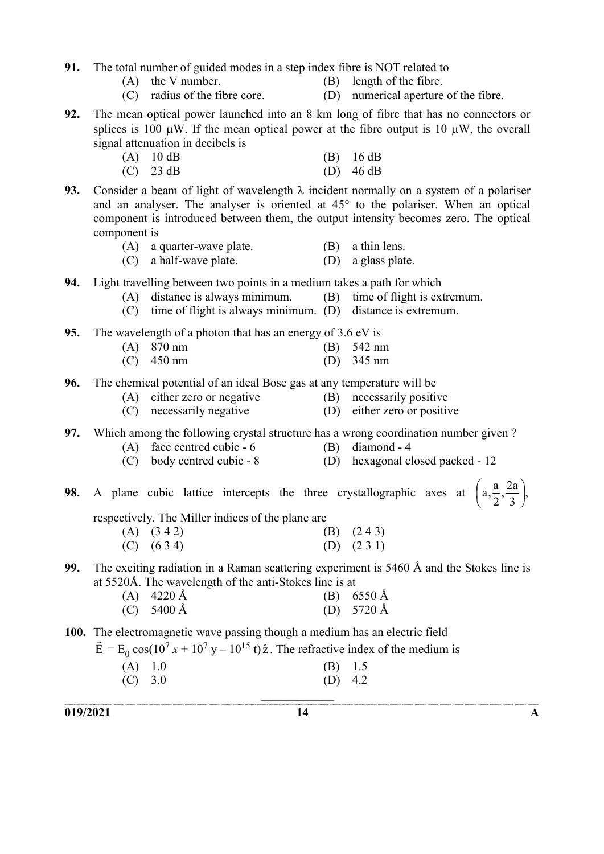91. The total number of guided modes in a step index fibre is NOT related to

(A) the V number. (B) length of the fibre. (C) radius of the fibre core. (D) numerical aperture of the fibre.

92. The mean optical power launched into an 8 km long of fibre that has no connectors or

splices is 100  $\mu$ W. If the mean optical power at the fibre output is 10  $\mu$ W, the overall signal attenuation in decibels is

| $(A)$ 10 dB | $(B)$ 16 dB |
|-------------|-------------|
| $(C)$ 23 dB | $(D)$ 46 dB |

- 93. Consider a beam of light of wavelength  $\lambda$  incident normally on a system of a polariser and an analyser. The analyser is oriented at 45° to the polariser. When an optical component is introduced between them, the output intensity becomes zero. The optical component is
	- (A) a quarter-wave plate. (B) a thin lens.
	- (C) a half-wave plate. (D) a glass plate.

94. Light travelling between two points in a medium takes a path for which

- (A) distance is always minimum. (B) time of flight is extremum.
	- (C) time of flight is always minimum. (D) distance is extremum.

**95.** The wavelength of a photon that has an energy of  $3.6 \text{ eV}$  is

- (A) 870 nm (B) 542 nm
- (C) 450 nm (D) 345 nm

96. The chemical potential of an ideal Bose gas at any temperature will be

- (A) either zero or negative (B) necessarily positive
- (C) necessarily negative (D) either zero or positive

97. Which among the following crystal structure has a wrong coordination number given ?

- (A) face centred cubic  $-6$  (B) diamond  $-4$ 
	- (C) body centred cubic 8 (D) hexagonal closed packed 12

**98.** A plane cubic lattice intercepts the three crystallographic axes at  $\left( a, \frac{a}{2}, \frac{2a}{2} \right)$ , 3  $\frac{2a}{2}$ 2  $\left[ a, \frac{a}{2}, \frac{2a}{2} \right]$ Ĵ  $\left(a, \frac{a}{2}, \frac{2a}{2}\right)$  $\setminus$ ſ

respectively. The Miller indices of the plane are

(A)  $(342)$  (B)  $(243)$ (C)  $(63.4)$  (D)  $(2.3.1)$ 

99. The exciting radiation in a Raman scattering experiment is 5460 Å and the Stokes line is at 5520Å. The wavelength of the anti-Stokes line is at

| (A) $4220 \text{ Å}$ | (B) $6550 \text{ Å}$ |
|----------------------|----------------------|
| (C) $5400 \text{ Å}$ | (D) $5720 \text{ Å}$ |

100. The electromagnetic wave passing though a medium has an electric field ⊥<br>=

E =  $E_0 \cos(10^7 x + 10^7 y - 10^{15} t) \hat{z}$ . The refractive index of the medium is

| $(A)$ 1.0 | $(B)$ 1.5 |  |
|-----------|-----------|--|
| $(C)$ 3.0 | (D) $4.2$ |  |

 $019/2021$  A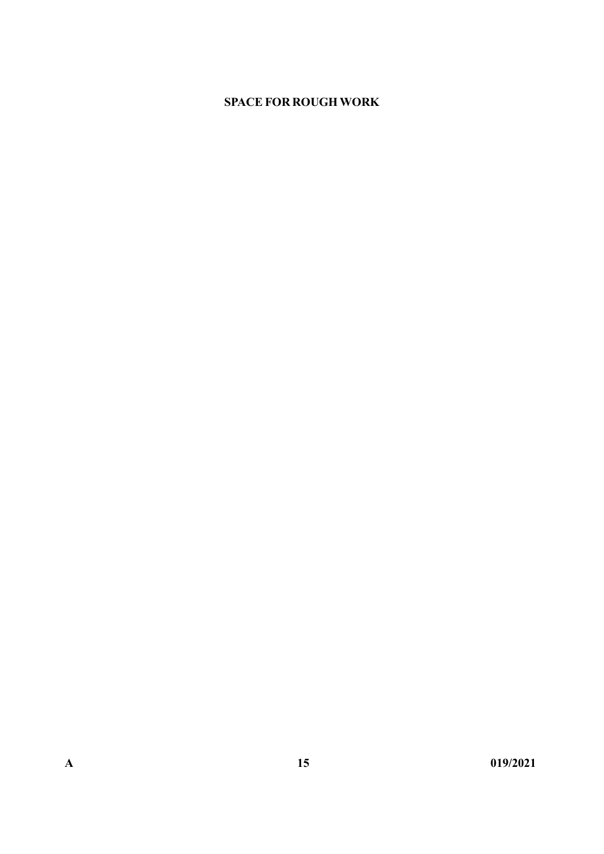# SPACE FOR ROUGH WORK